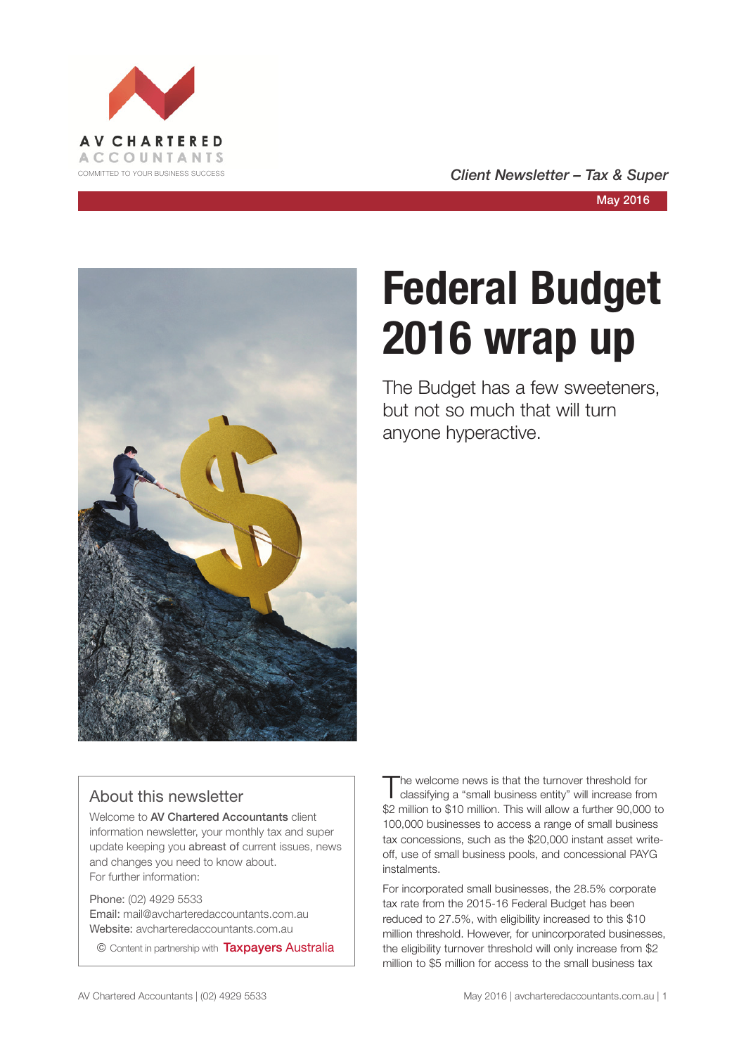

COMMITTED TO YOUR BUSINESS SUCCESS **COMMITTED TO YOUR BUSINESS SUCCESS** 



# **Federal Budget 2016 wrap up**

The Budget has a few sweeteners, but not so much that will turn anyone hyperactive.

#### About this newsletter

Welcome to AV Chartered Accountants client information newsletter, your monthly tax and super update keeping you abreast of current issues, news and changes you need to know about. For further information:

Phone: (02) 4929 5533 Email: mail@avcharteredaccountants.com.au Website: avcharteredaccountants.com.au

© Content in partnership with Taxpayers Australia

The welcome news is that the turnover threshold for classifying a "small business entity" will increase from \$2 million to \$10 million. This will allow a further 90,000 to 100,000 businesses to access a range of small business tax concessions, such as the \$20,000 instant asset writeoff, use of small business pools, and concessional PAYG instalments.

For incorporated small businesses, the 28.5% corporate tax rate from the 2015-16 Federal Budget has been reduced to 27.5%, with eligibility increased to this \$10 million threshold. However, for unincorporated businesses, the eligibility turnover threshold will only increase from \$2 million to \$5 million for access to the small business tax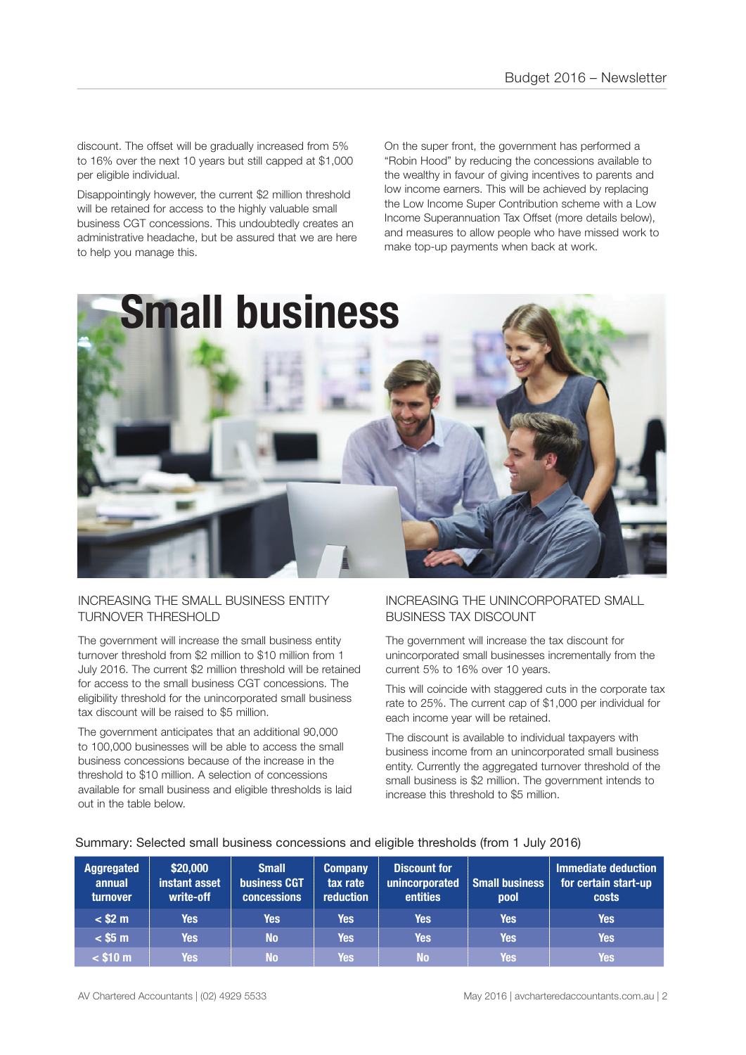discount. The offset will be gradually increased from 5% to 16% over the next 10 years but still capped at \$1,000 per eligible individual.

Disappointingly however, the current \$2 million threshold will be retained for access to the highly valuable small business CGT concessions. This undoubtedly creates an administrative headache, but be assured that we are here to help you manage this.

On the super front, the government has performed a "Robin Hood" by reducing the concessions available to the wealthy in favour of giving incentives to parents and low income earners. This will be achieved by replacing the Low Income Super Contribution scheme with a Low Income Superannuation Tax Offset (more details below), and measures to allow people who have missed work to make top-up payments when back at work.



#### INCREASING THE SMALL BUSINESS ENTITY TURNOVER THRESHOLD

The government will increase the small business entity turnover threshold from \$2 million to \$10 million from 1 July 2016. The current \$2 million threshold will be retained for access to the small business CGT concessions. The eligibility threshold for the unincorporated small business tax discount will be raised to \$5 million.

The government anticipates that an additional 90,000 to 100,000 businesses will be able to access the small business concessions because of the increase in the threshold to \$10 million. A selection of concessions available for small business and eligible thresholds is laid out in the table below.

#### INCREASING THE UNINCORPORATED SMALL BUSINESS TAX DISCOUNT

The government will increase the tax discount for unincorporated small businesses incrementally from the current 5% to 16% over 10 years.

This will coincide with staggered cuts in the corporate tax rate to 25%. The current cap of \$1,000 per individual for each income year will be retained.

The discount is available to individual taxpayers with business income from an unincorporated small business entity. Currently the aggregated turnover threshold of the small business is \$2 million. The government intends to increase this threshold to \$5 million.

| <b>Aggregated</b><br>annual<br>turnover | \$20,000<br>instant asset<br>write-off | <b>Small</b><br><b>business CGT</b><br><b>concessions</b> | <b>Company</b><br>tax rate<br><b>reduction</b> | <b>Discount for</b><br>unincorporated<br>entities | Small business<br>pool | <b>Immediate deduction</b><br>for certain start-up<br><b>costs</b> |
|-----------------------------------------|----------------------------------------|-----------------------------------------------------------|------------------------------------------------|---------------------------------------------------|------------------------|--------------------------------------------------------------------|
| $<$ \$2 m                               | Yes                                    | <b>Yes</b>                                                | Yes                                            | <b>Yes</b>                                        | Yes                    | Yes                                                                |
| $<$ \$5 m                               | <b>Yes</b>                             | N <sub>o</sub>                                            | Yes                                            | <b>Yes</b>                                        | Yes                    | Yes                                                                |
| $<$ \$10 m                              | <b>Yes</b>                             | <b>No</b>                                                 | <b>Yes</b>                                     | <b>No</b>                                         | <b>Yes</b>             | Yes.                                                               |

#### Summary: Selected small business concessions and eligible thresholds (from 1 July 2016)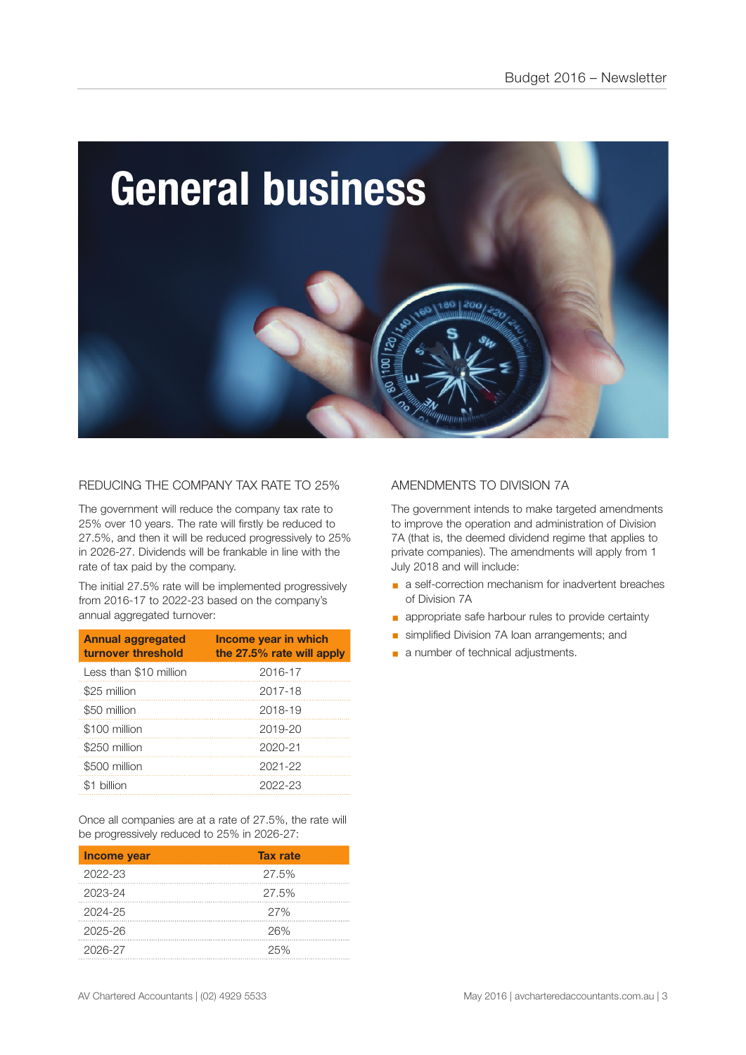

#### REDUCING THE COMPANY TAX RATE TO 25%

The government will reduce the company tax rate to 25% over 10 years. The rate will firstly be reduced to 27.5%, and then it will be reduced progressively to 25% in 2026-27. Dividends will be frankable in line with the rate of tax paid by the company.

The initial 27.5% rate will be implemented progressively from 2016-17 to 2022-23 based on the company's annual aggregated turnover:

| <b>Annual aggregated</b><br>turnover threshold | Income year in which<br>the 27.5% rate will apply |
|------------------------------------------------|---------------------------------------------------|
| Less than \$10 million                         | 2016-17                                           |
| \$25 million                                   | 2017-18                                           |
| \$50 million                                   | 2018-19                                           |
| \$100 million                                  | 2019-20                                           |
| \$250 million                                  | 2020-21                                           |
| \$500 million                                  | 2021-22                                           |
| billion                                        | 2022-23                                           |

Once all companies are at a rate of 27.5%, the rate will be progressively reduced to 25% in 2026-27:

| Income year | <b>Tax rate</b> |
|-------------|-----------------|
| 2022-23     | 27.5%           |
| 2023-24     | 27.5%           |
| 2024-25     | 27%             |
| 2025-26     | 26%             |
| 2026-27     | 25%             |

#### AMENDMENTS TO DIVISION 7A

The government intends to make targeted amendments to improve the operation and administration of Division 7A (that is, the deemed dividend regime that applies to private companies). The amendments will apply from 1 July 2018 and will include:

- a self-correction mechanism for inadvertent breaches of Division 7A
- **•** appropriate safe harbour rules to provide certainty
- **Ex simplified Division 7A loan arrangements; and**
- a number of technical adjustments.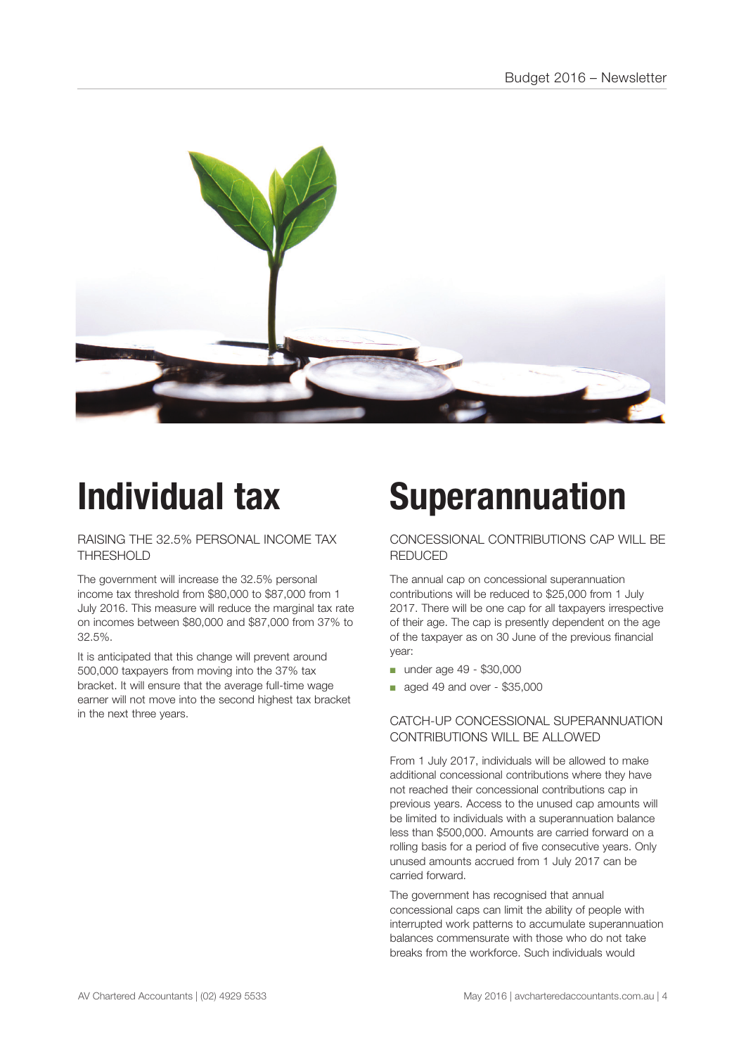

## **Individual tax**

RAISING THE 32.5% PERSONAL INCOME TAX THRESHOLD

The government will increase the 32.5% personal income tax threshold from \$80,000 to \$87,000 from 1 July 2016. This measure will reduce the marginal tax rate on incomes between \$80,000 and \$87,000 from 37% to 32.5%.

It is anticipated that this change will prevent around 500,000 taxpayers from moving into the 37% tax bracket. It will ensure that the average full-time wage earner will not move into the second highest tax bracket in the next three years.

### **Superannuation**

#### CONCESSIONAL CONTRIBUTIONS CAP WILL BE REDUCED

The annual cap on concessional superannuation contributions will be reduced to \$25,000 from 1 July 2017. There will be one cap for all taxpayers irrespective of their age. The cap is presently dependent on the age of the taxpayer as on 30 June of the previous financial year:

- under age 49 \$30,000
- aged 49 and over \$35,000

#### CATCH-UP CONCESSIONAL SUPERANNUATION CONTRIBUTIONS WILL BE ALLOWED

From 1 July 2017, individuals will be allowed to make additional concessional contributions where they have not reached their concessional contributions cap in previous years. Access to the unused cap amounts will be limited to individuals with a superannuation balance less than \$500,000. Amounts are carried forward on a rolling basis for a period of five consecutive years. Only unused amounts accrued from 1 July 2017 can be carried forward.

The government has recognised that annual concessional caps can limit the ability of people with interrupted work patterns to accumulate superannuation balances commensurate with those who do not take breaks from the workforce. Such individuals would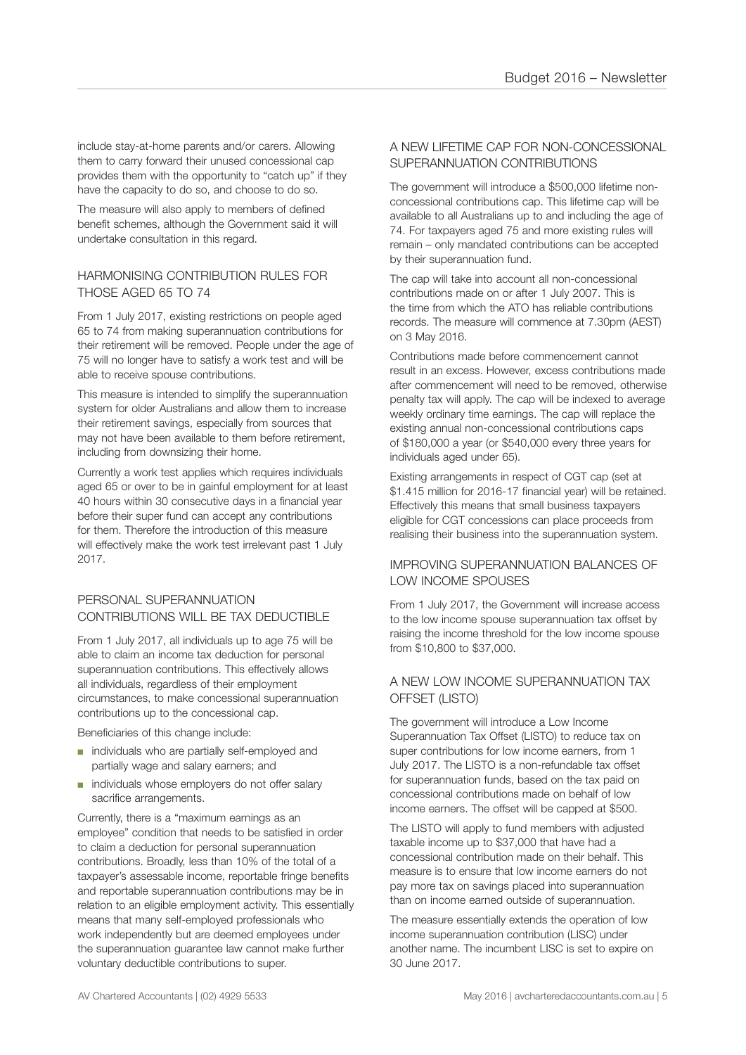include stay-at-home parents and/or carers. Allowing them to carry forward their unused concessional cap provides them with the opportunity to "catch up" if they have the capacity to do so, and choose to do so.

The measure will also apply to members of defined benefit schemes, although the Government said it will undertake consultation in this regard.

#### HARMONISING CONTRIBUTION RULES FOR THOSE AGED 65 TO 74

From 1 July 2017, existing restrictions on people aged 65 to 74 from making superannuation contributions for their retirement will be removed. People under the age of 75 will no longer have to satisfy a work test and will be able to receive spouse contributions.

This measure is intended to simplify the superannuation system for older Australians and allow them to increase their retirement savings, especially from sources that may not have been available to them before retirement, including from downsizing their home.

Currently a work test applies which requires individuals aged 65 or over to be in gainful employment for at least 40 hours within 30 consecutive days in a financial year before their super fund can accept any contributions for them. Therefore the introduction of this measure will effectively make the work test irrelevant past 1 July 2017.

#### PERSONAL SUPERANNUATION CONTRIBUTIONS WILL BE TAX DEDUCTIBLE

From 1 July 2017, all individuals up to age 75 will be able to claim an income tax deduction for personal superannuation contributions. This effectively allows all individuals, regardless of their employment circumstances, to make concessional superannuation contributions up to the concessional cap.

Beneficiaries of this change include:

- individuals who are partially self-employed and partially wage and salary earners; and
- individuals whose employers do not offer salary sacrifice arrangements.

Currently, there is a "maximum earnings as an employee" condition that needs to be satisfied in order to claim a deduction for personal superannuation contributions. Broadly, less than 10% of the total of a taxpayer's assessable income, reportable fringe benefits and reportable superannuation contributions may be in relation to an eligible employment activity. This essentially means that many self-employed professionals who work independently but are deemed employees under the superannuation guarantee law cannot make further voluntary deductible contributions to super.

#### A NEW LIFETIME CAP FOR NON-CONCESSIONAL SUPERANNUATION CONTRIBUTIONS

The government will introduce a \$500,000 lifetime nonconcessional contributions cap. This lifetime cap will be available to all Australians up to and including the age of 74. For taxpayers aged 75 and more existing rules will remain – only mandated contributions can be accepted by their superannuation fund.

The cap will take into account all non-concessional contributions made on or after 1 July 2007. This is the time from which the ATO has reliable contributions records. The measure will commence at 7.30pm (AEST) on 3 May 2016.

Contributions made before commencement cannot result in an excess. However, excess contributions made after commencement will need to be removed, otherwise penalty tax will apply. The cap will be indexed to average weekly ordinary time earnings. The cap will replace the existing annual non-concessional contributions caps of \$180,000 a year (or \$540,000 every three years for individuals aged under 65).

Existing arrangements in respect of CGT cap (set at \$1.415 million for 2016-17 financial year) will be retained. Effectively this means that small business taxpayers eligible for CGT concessions can place proceeds from realising their business into the superannuation system.

#### IMPROVING SUPERANNUATION BALANCES OF LOW INCOME SPOUSES

From 1 July 2017, the Government will increase access to the low income spouse superannuation tax offset by raising the income threshold for the low income spouse from \$10,800 to \$37,000.

#### A NEW LOW INCOME SUPERANNUATION TAX OFFSET (LISTO)

The government will introduce a Low Income Superannuation Tax Offset (LISTO) to reduce tax on super contributions for low income earners, from 1 July 2017. The LISTO is a non-refundable tax offset for superannuation funds, based on the tax paid on concessional contributions made on behalf of low income earners. The offset will be capped at \$500.

The LISTO will apply to fund members with adjusted taxable income up to \$37,000 that have had a concessional contribution made on their behalf. This measure is to ensure that low income earners do not pay more tax on savings placed into superannuation than on income earned outside of superannuation.

The measure essentially extends the operation of low income superannuation contribution (LISC) under another name. The incumbent LISC is set to expire on 30 June 2017.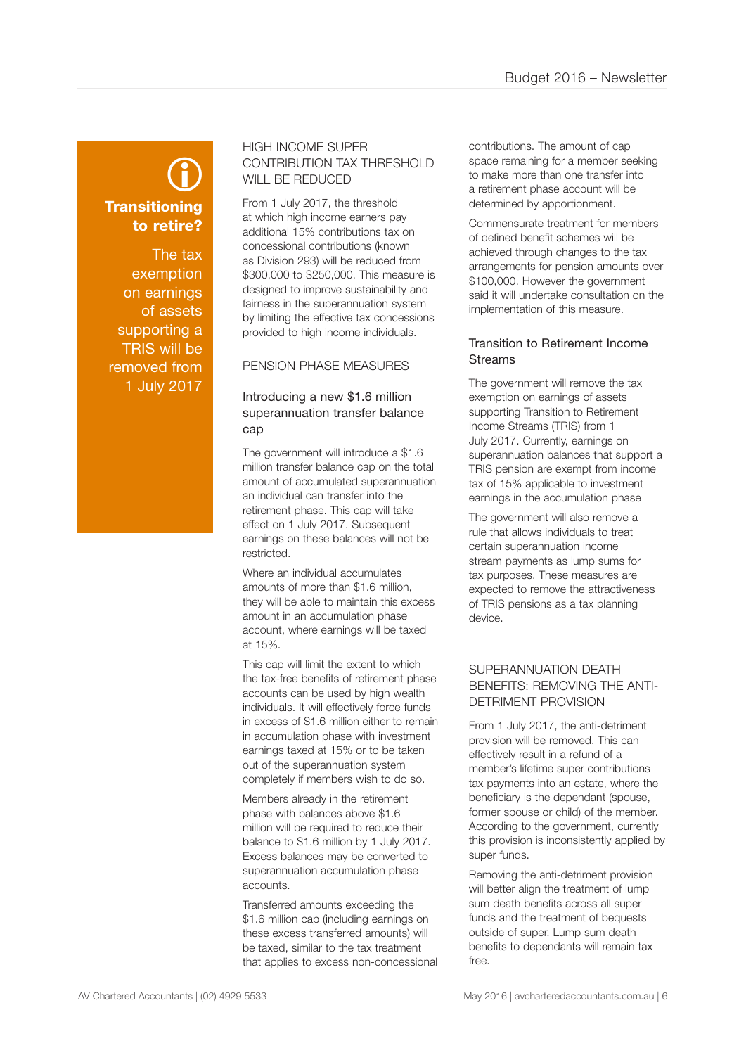### **Transitioning** to retire?  $\bigcirc$

The tax exemption on earnings of assets supporting a TRIS will be removed from 1 July 2017

#### HIGH INCOME SUPER CONTRIBUTION TAX THRESHOLD WILL BE REDUCED

From 1 July 2017, the threshold at which high income earners pay additional 15% contributions tax on concessional contributions (known as Division 293) will be reduced from \$300,000 to \$250,000. This measure is designed to improve sustainability and fairness in the superannuation system by limiting the effective tax concessions provided to high income individuals.

#### PENSION PHASE MEASURES

#### Introducing a new \$1.6 million superannuation transfer balance cap

The government will introduce a \$1.6 million transfer balance cap on the total amount of accumulated superannuation an individual can transfer into the retirement phase. This cap will take effect on 1 July 2017. Subsequent earnings on these balances will not be restricted.

Where an individual accumulates amounts of more than \$1.6 million, they will be able to maintain this excess amount in an accumulation phase account, where earnings will be taxed at 15%.

This cap will limit the extent to which the tax-free benefits of retirement phase accounts can be used by high wealth individuals. It will effectively force funds in excess of \$1.6 million either to remain in accumulation phase with investment earnings taxed at 15% or to be taken out of the superannuation system completely if members wish to do so.

Members already in the retirement phase with balances above \$1.6 million will be required to reduce their balance to \$1.6 million by 1 July 2017. Excess balances may be converted to superannuation accumulation phase accounts.

Transferred amounts exceeding the \$1.6 million cap (including earnings on these excess transferred amounts) will be taxed, similar to the tax treatment that applies to excess non-concessional contributions. The amount of cap space remaining for a member seeking to make more than one transfer into a retirement phase account will be determined by apportionment.

Commensurate treatment for members of defined benefit schemes will be achieved through changes to the tax arrangements for pension amounts over \$100,000. However the government said it will undertake consultation on the implementation of this measure.

#### Transition to Retirement Income **Streams**

The government will remove the tax exemption on earnings of assets supporting Transition to Retirement Income Streams (TRIS) from 1 July 2017. Currently, earnings on superannuation balances that support a TRIS pension are exempt from income tax of 15% applicable to investment earnings in the accumulation phase

The government will also remove a rule that allows individuals to treat certain superannuation income stream payments as lump sums for tax purposes. These measures are expected to remove the attractiveness of TRIS pensions as a tax planning device.

#### SUPERANNUATION DEATH BENEFITS: REMOVING THE ANTI-DETRIMENT PROVISION

From 1 July 2017, the anti-detriment provision will be removed. This can effectively result in a refund of a member's lifetime super contributions tax payments into an estate, where the beneficiary is the dependant (spouse, former spouse or child) of the member. According to the government, currently this provision is inconsistently applied by super funds.

Removing the anti-detriment provision will better align the treatment of lump sum death benefits across all super funds and the treatment of bequests outside of super. Lump sum death benefits to dependants will remain tax free.